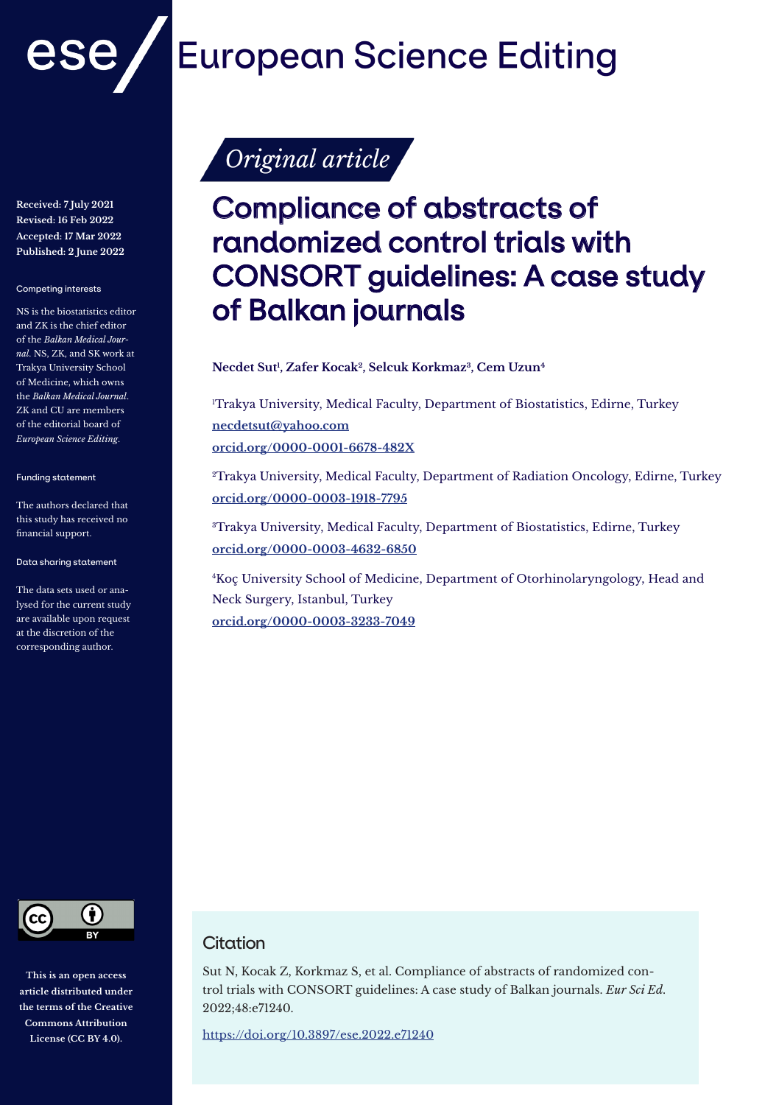

**Received: 7 July 2021 Revised: 16 Feb 2022 Accepted: 17 Mar 2022 Published: 2 June 2022**

#### Competing interests

NS is the biostatistics editor and ZK is the chief editor of the *Balkan Medical Journal*. NS, ZK, and SK work at Trakya University School of Medicine, which owns the *Balkan Medical Journal*. ZK and CU are members of the editorial board of *European Science Editing*.

#### Funding statement

The authors declared that this study has received no financial support.

#### Data sharing statement

The data sets used or analysed for the current study are available upon request at the discretion of the corresponding author.



**This is an open access article distributed under the terms of the Creative Commons Attribution License (CC BY 4.0).**

# **European Science Editing**

Original article

## Compliance of abstracts of randomized control trials with CONSORT guidelines: A case study of Balkan journals

#### **Necdet Sut1 , Zafer Kocak2, Selcuk Korkmaz3, Cem Uzun4**

'Trakya University, Medical Faculty, Department of Biostatistics, Edirne, Turkey **necdetsut@yahoo.com orcid.org/0000-0001-6678-482X**

2Trakya University, Medical Faculty, Department of Radiation Oncology, Edirne, Turkey **orcid.org/0000-0003-1918-7795**

3Trakya University, Medical Faculty, Department of Biostatistics, Edirne, Turkey **orcid.org/0000-0003-4632-6850**

4Koç University School of Medicine, Department of Otorhinolaryngology, Head and Neck Surgery, Istanbul, Turkey **orcid.org/0000-0003-3233-7049**

#### **Citation**

Sut N, Kocak Z, Korkmaz S, et al. Compliance of abstracts of randomized control trials with CONSORT guidelines: A case study of Balkan journals. *Eur Sci Ed*. 2022;48:e71240.

https://doi.org/10.3897/ese.2022.e71240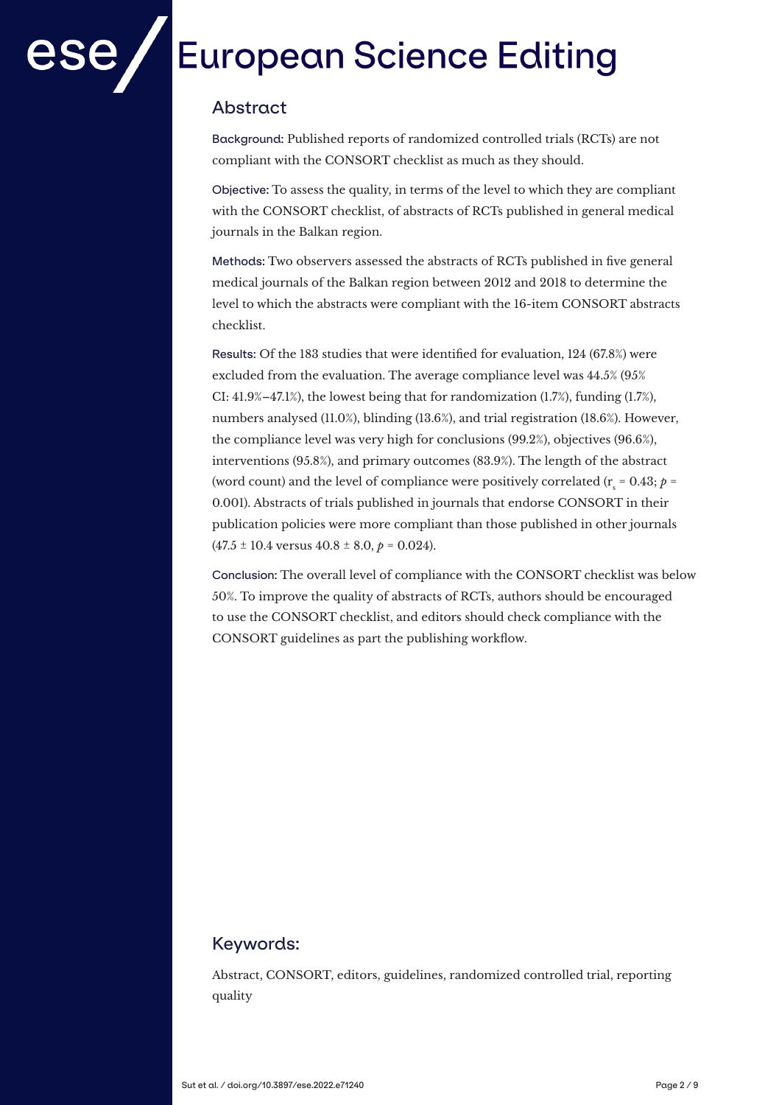# **European Science Editing**

### Abstract

Background: Published reports of randomized controlled trials (RCTs) are not compliant with the CONSORT checklist as much as they should.

Objective: To assess the quality, in terms of the level to which they are compliant with the CONSORT checklist, of abstracts of RCTs published in general medical journals in the Balkan region.

Methods: Two observers assessed the abstracts of RCTs published in five general medical journals of the Balkan region between 2012 and 2018 to determine the level to which the abstracts were compliant with the 16-item CONSORT abstracts checklist.

Results: Of the 183 studies that were identified for evaluation, 124 (67.8%) were excluded from the evaluation. The average compliance level was 44.5% (95% CI: 41.9%–47.1%), the lowest being that for randomization (1.7%), funding (1.7%), numbers analysed (11.0%), blinding (13.6%), and trial registration (18.6%). However, the compliance level was very high for conclusions (99.2%), objectives (96.6%), interventions (95.8%), and primary outcomes (83.9%). The length of the abstract (word count) and the level of compliance were positively correlated ( $r_{\rm s}$  = 0.43;  $p$  = 0.001). Abstracts of trials published in journals that endorse CONSORT in their publication policies were more compliant than those published in other journals  $(47.5 \pm 10.4 \text{ versus } 40.8 \pm 8.0, p = 0.024).$ 

Conclusion: The overall level of compliance with the CONSORT checklist was below 50%. To improve the quality of abstracts of RCTs, authors should be encouraged to use the CONSORT checklist, and editors should check compliance with the CONSORT guidelines as part the publishing workflow.

### Keywords:

Abstract, CONSORT, editors, guidelines, randomized controlled trial, reporting quality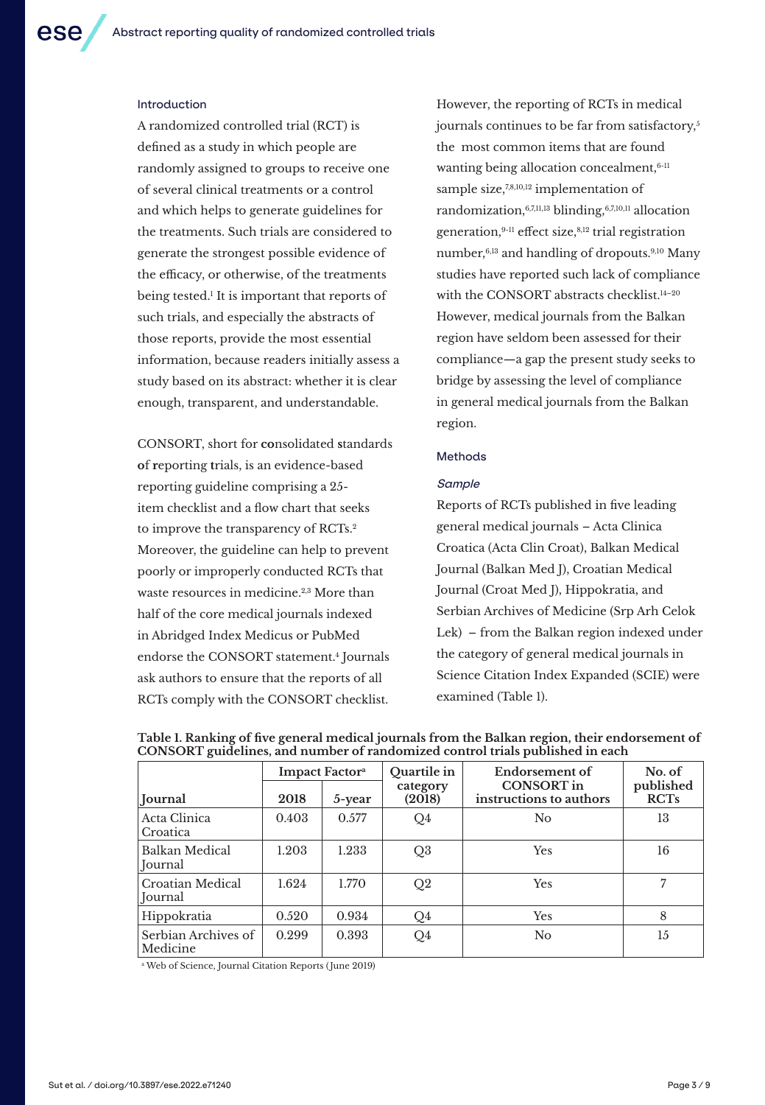#### Introduction

A randomized controlled trial (RCT) is defined as a study in which people are randomly assigned to groups to receive one of several clinical treatments or a control and which helps to generate guidelines for the treatments. Such trials are considered to generate the strongest possible evidence of the efficacy, or otherwise, of the treatments being tested.<sup>1</sup> It is important that reports of such trials, and especially the abstracts of those reports, provide the most essential information, because readers initially assess a study based on its abstract: whether it is clear enough, transparent, and understandable.

CONSORT, short for **co**nsolidated **s**tandards **o**f **r**eporting **t**rials, is an evidence-based reporting guideline comprising a 25 item checklist and a flow chart that seeks to improve the transparency of RCTs.<sup>2</sup> Moreover, the guideline can help to prevent poorly or improperly conducted RCTs that waste resources in medicine.2,3 More than half of the core medical journals indexed in Abridged Index Medicus or PubMed endorse the CONSORT statement.4 Journals ask authors to ensure that the reports of all RCTs comply with the CONSORT checklist.

However, the reporting of RCTs in medical journals continues to be far from satisfactory,<sup>5</sup> the most common items that are found wanting being allocation concealment, <sup>6-11</sup> sample size,<sup>7,8,10,12</sup> implementation of randomization,6,7,11,13 blinding,6,7,10,11 allocation generation. $9-11$  effect size,  $8,12$  trial registration number,6,13 and handling of dropouts.9,10 Many studies have reported such lack of compliance with the CONSORT abstracts checklist.<sup>14-20</sup> However, medical journals from the Balkan region have seldom been assessed for their compliance—a gap the present study seeks to bridge by assessing the level of compliance in general medical journals from the Balkan region.

#### **Methods**

#### Sample

Reports of RCTs published in five leading general medical journals – Acta Clinica Croatica (Acta Clin Croat), Balkan Medical Journal (Balkan Med J), Croatian Medical Journal (Croat Med J), Hippokratia, and Serbian Archives of Medicine (Srp Arh Celok Lek) – from the Balkan region indexed under the category of general medical journals in Science Citation Index Expanded (SCIE) were examined (Table 1).

|                                  | <b>Impact Factor</b> <sup>a</sup> |        | <b>Ouartile</b> in | Endorsement of                               | No. of                   |
|----------------------------------|-----------------------------------|--------|--------------------|----------------------------------------------|--------------------------|
| Journal                          | 2018                              | 5-year | category<br>(2018) | <b>CONSORT</b> in<br>instructions to authors | published<br><b>RCTs</b> |
| Acta Clinica<br>Croatica         | 0.403                             | 0.577  | Q4                 | N <sub>o</sub>                               | 13                       |
| <b>Balkan Medical</b><br>Journal | 1.203                             | 1.233  | Q <sub>3</sub>     | Yes                                          | 16                       |
| Croatian Medical<br>Journal      | 1.624                             | 1.770  | Q <sub>2</sub>     | <b>Yes</b>                                   | 7                        |
| Hippokratia                      | 0.520                             | 0.934  | Q4                 | Yes                                          | 8                        |
| Serbian Archives of<br>Medicine  | 0.299                             | 0.393  | Q4                 | N <sub>0</sub>                               | 15                       |

**Table 1. Ranking of five general medical journals from the Balkan region, their endorsement of CONSORT guidelines, and number of randomized control trials published in each** 

a Web of Science, Journal Citation Reports (June 2019)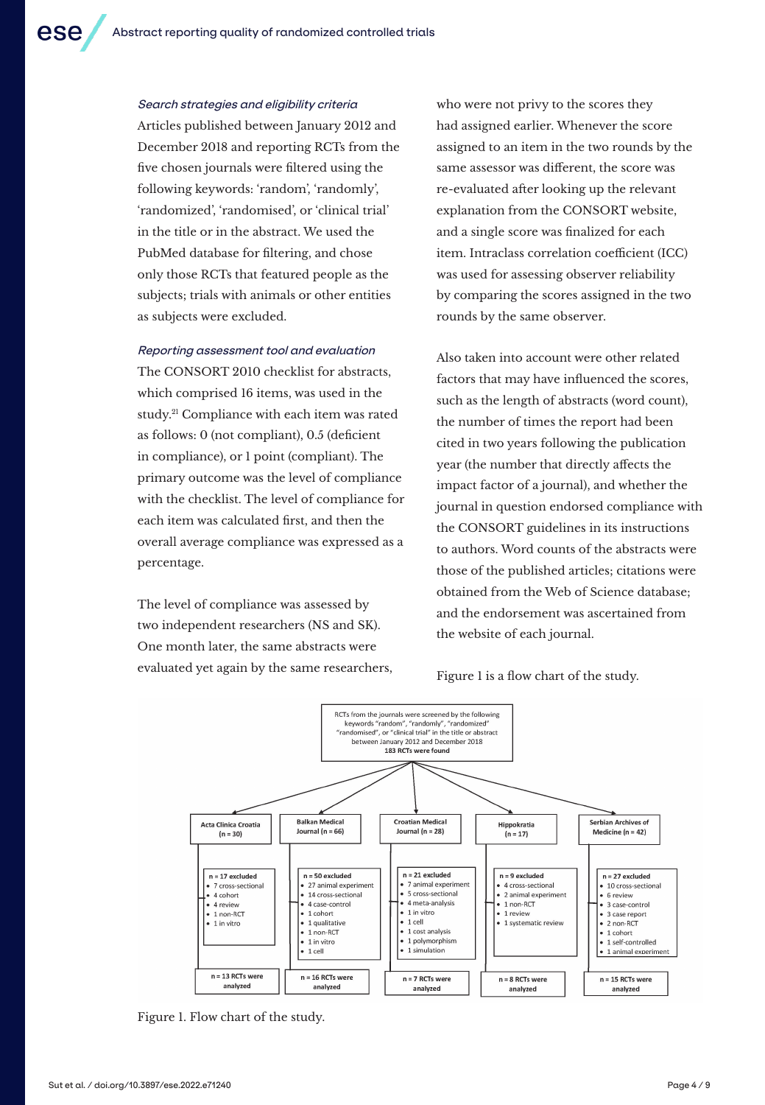#### Search strategies and eligibility criteria

Articles published between January 2012 and December 2018 and reporting RCTs from the five chosen journals were filtered using the following keywords: 'random', 'randomly', 'randomized', 'randomised', or 'clinical trial' in the title or in the abstract. We used the PubMed database for filtering, and chose only those RCTs that featured people as the subjects; trials with animals or other entities as subjects were excluded.

#### Reporting assessment tool and evaluation

The CONSORT 2010 checklist for abstracts, which comprised 16 items, was used in the study.21 Compliance with each item was rated as follows: 0 (not compliant), 0.5 (deficient in compliance), or 1 point (compliant). The primary outcome was the level of compliance with the checklist. The level of compliance for each item was calculated first, and then the overall average compliance was expressed as a percentage.

The level of compliance was assessed by two independent researchers (NS and SK). One month later, the same abstracts were evaluated yet again by the same researchers,

who were not privy to the scores they had assigned earlier. Whenever the score assigned to an item in the two rounds by the same assessor was different, the score was re-evaluated after looking up the relevant explanation from the CONSORT website, and a single score was finalized for each item. Intraclass correlation coefficient (ICC) was used for assessing observer reliability by comparing the scores assigned in the two rounds by the same observer.

Also taken into account were other related factors that may have influenced the scores, such as the length of abstracts (word count), the number of times the report had been cited in two years following the publication year (the number that directly affects the impact factor of a journal), and whether the journal in question endorsed compliance with the CONSORT guidelines in its instructions to authors. Word counts of the abstracts were those of the published articles; citations were obtained from the Web of Science database; and the endorsement was ascertained from the website of each journal.

#### Figure 1 is a flow chart of the study.



Figure 1. Flow chart of the study.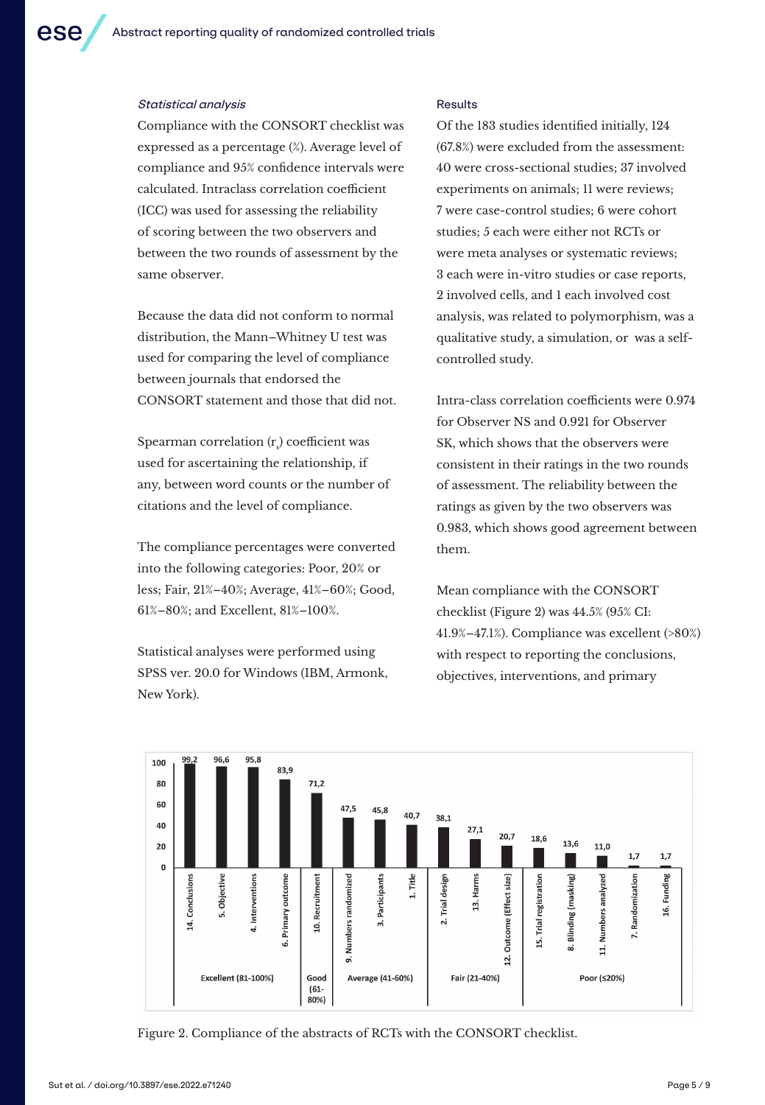#### Statistical analysis

Compliance with the CONSORT checklist was expressed as a percentage (%). Average level of compliance and 95% confidence intervals were calculated. Intraclass correlation coefficient (ICC) was used for assessing the reliability of scoring between the two observers and between the two rounds of assessment by the same observer.

Because the data did not conform to normal distribution, the Mann–Whitney U test was used for comparing the level of compliance between journals that endorsed the CONSORT statement and those that did not.

Spearman correlation ( $r_{\rm s}$ ) coefficient was used for ascertaining the relationship, if any, between word counts or the number of citations and the level of compliance.

The compliance percentages were converted into the following categories: Poor, 20% or less; Fair, 21%–40%; Average, 41%–60%; Good, 61%–80%; and Excellent, 81%–100%.

Statistical analyses were performed using SPSS ver. 20.0 for Windows (IBM, Armonk, New York).

#### Results

Of the 183 studies identified initially, 124 (67.8%) were excluded from the assessment: 40 were cross-sectional studies; 37 involved experiments on animals; 11 were reviews; 7 were case-control studies; 6 were cohort studies; 5 each were either not RCTs or were meta analyses or systematic reviews; 3 each were in-vitro studies or case reports, 2 involved cells, and 1 each involved cost analysis, was related to polymorphism, was a qualitative study, a simulation, or was a selfcontrolled study.

Intra-class correlation coefficients were 0.974 for Observer NS and 0.921 for Observer SK, which shows that the observers were consistent in their ratings in the two rounds of assessment. The reliability between the ratings as given by the two observers was 0.983, which shows good agreement between them.

Mean compliance with the CONSORT checklist (Figure 2) was 44.5% (95% CI: 41.9%–47.1%). Compliance was excellent (>80%) with respect to reporting the conclusions, objectives, interventions, and primary



Figure 2. Compliance of the abstracts of RCTs with the CONSORT checklist.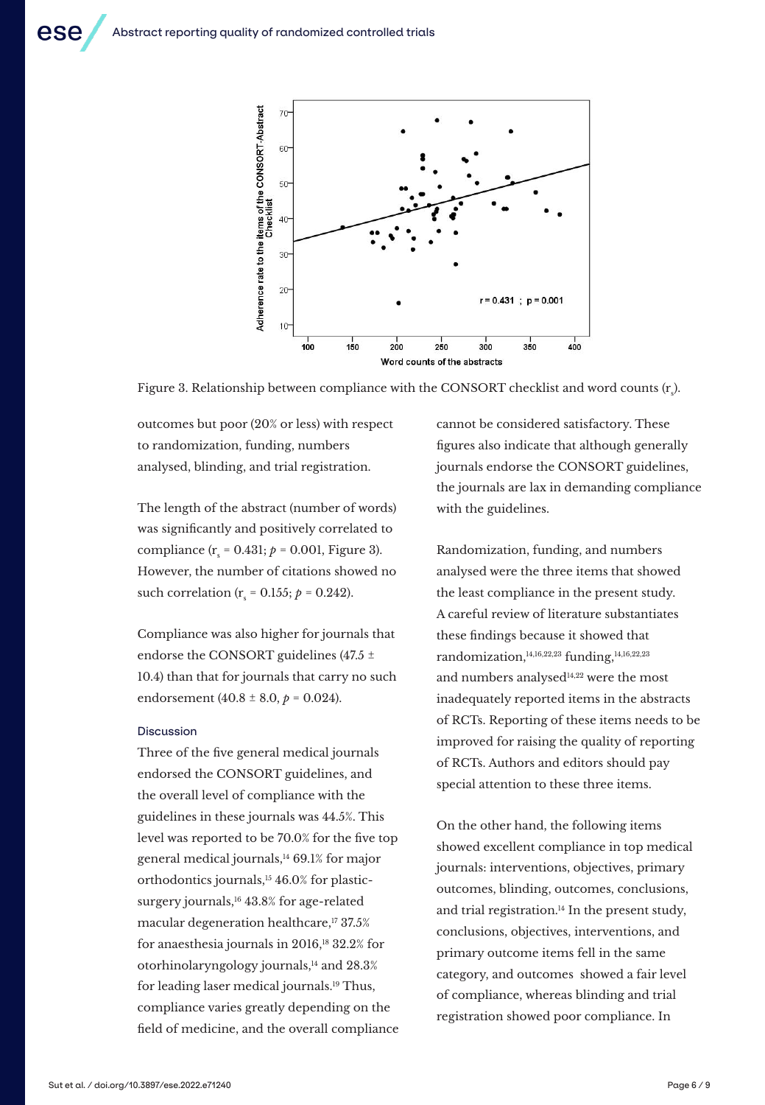

Figure 3. Relationship between compliance with the CONSORT checklist and word counts  $(\mathbf{r}_\mathbf{s})$ .

outcomes but poor (20% or less) with respect to randomization, funding, numbers analysed, blinding, and trial registration.

The length of the abstract (number of words) was significantly and positively correlated to compliance  $(r_s = 0.431; p = 0.001, \text{ Figure 3}).$ However, the number of citations showed no such correlation ( $r_s = 0.155; p = 0.242$ ).

Compliance was also higher for journals that endorse the CONSORT guidelines (47.5  $\pm$ 10.4) than that for journals that carry no such endorsement (40.8  $\pm$  8.0,  $p = 0.024$ ).

#### Discussion

Three of the five general medical journals endorsed the CONSORT guidelines, and the overall level of compliance with the guidelines in these journals was 44.5%. This level was reported to be 70.0% for the five top general medical journals,14 69.1% for major orthodontics journals,15 46.0% for plasticsurgery journals,<sup>16</sup> 43.8% for age-related macular degeneration healthcare,<sup>17</sup> 37.5% for anaesthesia journals in 2016,<sup>18</sup> 32.2% for otorhinolaryngology journals,14 and 28.3% for leading laser medical journals.<sup>19</sup> Thus, compliance varies greatly depending on the field of medicine, and the overall compliance cannot be considered satisfactory. These figures also indicate that although generally journals endorse the CONSORT guidelines, the journals are lax in demanding compliance with the guidelines.

Randomization, funding, and numbers analysed were the three items that showed the least compliance in the present study. A careful review of literature substantiates these findings because it showed that randomization,14,16,22,23 funding,14,16,22,23 and numbers analysed<sup>14,22</sup> were the most inadequately reported items in the abstracts of RCTs. Reporting of these items needs to be improved for raising the quality of reporting of RCTs. Authors and editors should pay special attention to these three items.

On the other hand, the following items showed excellent compliance in top medical journals: interventions, objectives, primary outcomes, blinding, outcomes, conclusions, and trial registration.<sup>14</sup> In the present study, conclusions, objectives, interventions, and primary outcome items fell in the same category, and outcomes showed a fair level of compliance, whereas blinding and trial registration showed poor compliance. In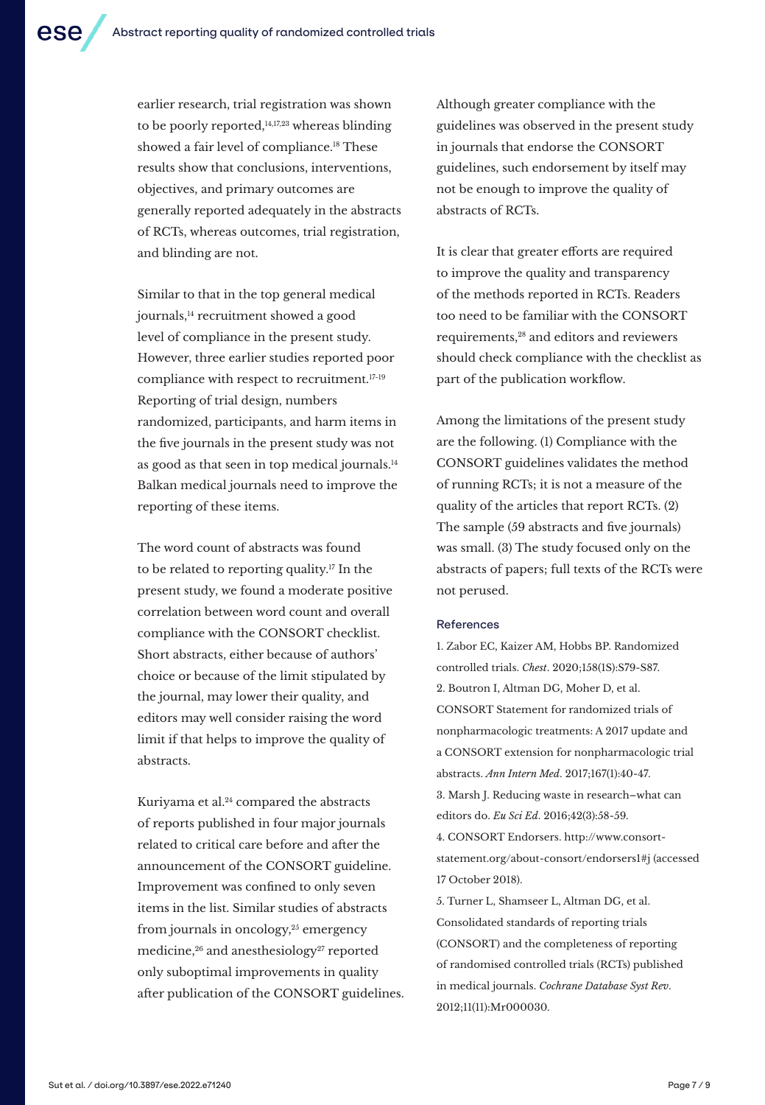earlier research, trial registration was shown to be poorly reported,<sup>14,17,23</sup> whereas blinding showed a fair level of compliance.<sup>18</sup> These results show that conclusions, interventions, objectives, and primary outcomes are generally reported adequately in the abstracts of RCTs, whereas outcomes, trial registration, and blinding are not.

Similar to that in the top general medical journals,14 recruitment showed a good level of compliance in the present study. However, three earlier studies reported poor compliance with respect to recruitment.17-19 Reporting of trial design, numbers randomized, participants, and harm items in the five journals in the present study was not as good as that seen in top medical journals.14 Balkan medical journals need to improve the reporting of these items.

The word count of abstracts was found to be related to reporting quality.17 In the present study, we found a moderate positive correlation between word count and overall compliance with the CONSORT checklist. Short abstracts, either because of authors' choice or because of the limit stipulated by the journal, may lower their quality, and editors may well consider raising the word limit if that helps to improve the quality of abstracts.

Kuriyama et al.<sup>24</sup> compared the abstracts of reports published in four major journals related to critical care before and after the announcement of the CONSORT guideline. Improvement was confined to only seven items in the list. Similar studies of abstracts from journals in oncology, $25$  emergency medicine,<sup>26</sup> and anesthesiology<sup>27</sup> reported only suboptimal improvements in quality after publication of the CONSORT guidelines. Although greater compliance with the guidelines was observed in the present study in journals that endorse the CONSORT guidelines, such endorsement by itself may not be enough to improve the quality of abstracts of RCTs.

It is clear that greater efforts are required to improve the quality and transparency of the methods reported in RCTs. Readers too need to be familiar with the CONSORT requirements,28 and editors and reviewers should check compliance with the checklist as part of the publication workflow.

Among the limitations of the present study are the following. (1) Compliance with the CONSORT guidelines validates the method of running RCTs; it is not a measure of the quality of the articles that report RCTs. (2) The sample (59 abstracts and five journals) was small. (3) The study focused only on the abstracts of papers; full texts of the RCTs were not perused.

#### References

1. Zabor EC, Kaizer AM, Hobbs BP. Randomized controlled trials. *Chest*. 2020;158(1S):S79-S87. 2. Boutron I, Altman DG, Moher D, et al. CONSORT Statement for randomized trials of nonpharmacologic treatments: A 2017 update and a CONSORT extension for nonpharmacologic trial abstracts. *Ann Intern Med*. 2017;167(1):40-47. 3. Marsh J. Reducing waste in research–what can editors do. *Eu Sci Ed*. 2016;42(3):58-59. 4. CONSORT Endorsers. http://www.consortstatement.org/about-consort/endorsers1#j (accessed

17 October 2018).

5. Turner L, Shamseer L, Altman DG, et al. Consolidated standards of reporting trials (CONSORT) and the completeness of reporting of randomised controlled trials (RCTs) published in medical journals. *Cochrane Database Syst Rev*. 2012;11(11):Mr000030.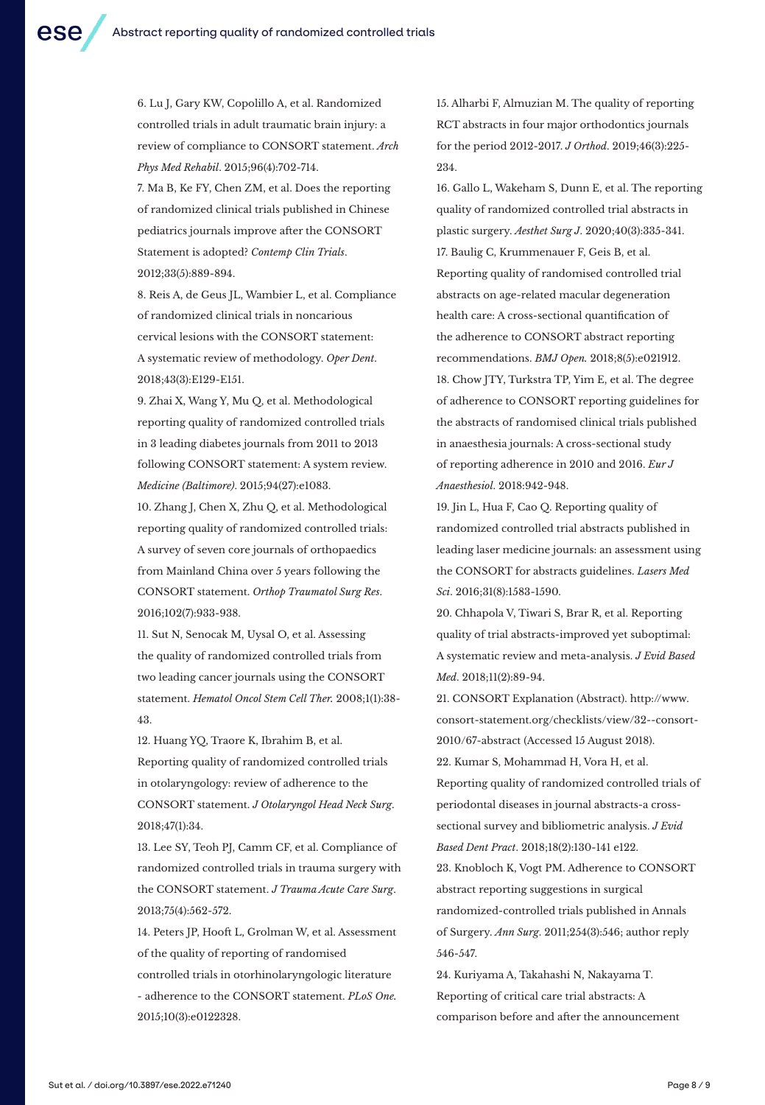6. Lu J, Gary KW, Copolillo A, et al. Randomized controlled trials in adult traumatic brain injury: a review of compliance to CONSORT statement. *Arch Phys Med Rehabil*. 2015;96(4):702-714.

7. Ma B, Ke FY, Chen ZM, et al. Does the reporting of randomized clinical trials published in Chinese pediatrics journals improve after the CONSORT Statement is adopted? *Contemp Clin Trials*. 2012;33(5):889-894.

8. Reis A, de Geus JL, Wambier L, et al. Compliance of randomized clinical trials in noncarious cervical lesions with the CONSORT statement: A systematic review of methodology. *Oper Dent*. 2018;43(3):E129-E151.

9. Zhai X, Wang Y, Mu Q, et al. Methodological reporting quality of randomized controlled trials in 3 leading diabetes journals from 2011 to 2013 following CONSORT statement: A system review. *Medicine (Baltimore)*. 2015;94(27):e1083.

10. Zhang J, Chen X, Zhu Q, et al. Methodological reporting quality of randomized controlled trials: A survey of seven core journals of orthopaedics from Mainland China over 5 years following the CONSORT statement. *Orthop Traumatol Surg Res*. 2016;102(7):933-938.

11. Sut N, Senocak M, Uysal O, et al. Assessing the quality of randomized controlled trials from two leading cancer journals using the CONSORT statement. *Hematol Oncol Stem Cell Ther.* 2008;1(1):38- 43.

12. Huang YQ, Traore K, Ibrahim B, et al. Reporting quality of randomized controlled trials in otolaryngology: review of adherence to the CONSORT statement. *J Otolaryngol Head Neck Surg*. 2018;47(1):34.

13. Lee SY, Teoh PJ, Camm CF, et al. Compliance of randomized controlled trials in trauma surgery with the CONSORT statement. *J Trauma Acute Care Surg*. 2013;75(4):562-572.

14. Peters JP, Hooft L, Grolman W, et al. Assessment of the quality of reporting of randomised controlled trials in otorhinolaryngologic literature - adherence to the CONSORT statement. *PLoS One.*  2015;10(3):e0122328.

15. Alharbi F, Almuzian M. The quality of reporting RCT abstracts in four major orthodontics journals for the period 2012-2017. *J Orthod*. 2019;46(3):225- 234.

16. Gallo L, Wakeham S, Dunn E, et al. The reporting quality of randomized controlled trial abstracts in plastic surgery. *Aesthet Surg J*. 2020;40(3):335-341. 17. Baulig C, Krummenauer F, Geis B, et al. Reporting quality of randomised controlled trial abstracts on age-related macular degeneration health care: A cross-sectional quantification of the adherence to CONSORT abstract reporting recommendations. *BMJ Open.* 2018;8(5):e021912. 18. Chow JTY, Turkstra TP, Yim E, et al. The degree of adherence to CONSORT reporting guidelines for the abstracts of randomised clinical trials published in anaesthesia journals: A cross-sectional study of reporting adherence in 2010 and 2016. *Eur J Anaesthesiol*. 2018:942-948.

19. Jin L, Hua F, Cao Q. Reporting quality of randomized controlled trial abstracts published in leading laser medicine journals: an assessment using the CONSORT for abstracts guidelines. *Lasers Med Sci*. 2016;31(8):1583-1590.

20. Chhapola V, Tiwari S, Brar R, et al. Reporting quality of trial abstracts-improved yet suboptimal: A systematic review and meta-analysis. *J Evid Based Med*. 2018;11(2):89-94.

21. CONSORT Explanation (Abstract). http://www. consort-statement.org/checklists/view/32--consort-2010/67-abstract (Accessed 15 August 2018). 22. Kumar S, Mohammad H, Vora H, et al. Reporting quality of randomized controlled trials of

periodontal diseases in journal abstracts-a crosssectional survey and bibliometric analysis. *J Evid Based Dent Pract*. 2018;18(2):130-141 e122.

23. Knobloch K, Vogt PM. Adherence to CONSORT abstract reporting suggestions in surgical randomized-controlled trials published in Annals of Surgery. *Ann Surg*. 2011;254(3):546; author reply 546-547.

24. Kuriyama A, Takahashi N, Nakayama T. Reporting of critical care trial abstracts: A comparison before and after the announcement